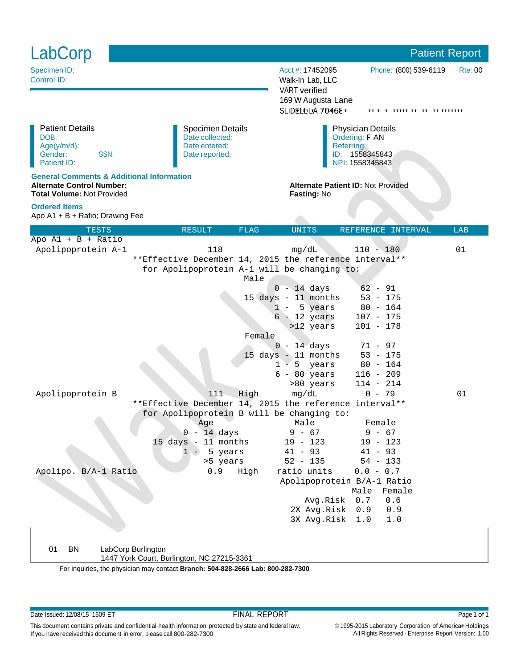| LabCorp                                                                                                                       |                                                                                                                                                                                                |                                                                                                                                                                                          |                                                                                                                                                      | <b>Patient Report</b>              |
|-------------------------------------------------------------------------------------------------------------------------------|------------------------------------------------------------------------------------------------------------------------------------------------------------------------------------------------|------------------------------------------------------------------------------------------------------------------------------------------------------------------------------------------|------------------------------------------------------------------------------------------------------------------------------------------------------|------------------------------------|
| Specimen ID:<br>Control ID:                                                                                                   |                                                                                                                                                                                                | Acct #: 17452095<br>Walk-In Lab, LLC<br><b>VART</b> verified<br>169 W Augusta Lane<br>SLIDELLLIA 7045E I                                                                                 | Phone: (800) 539-6119                                                                                                                                | <b>Rte: 00</b><br>пт г шин и и шин |
| <b>Patient Details</b><br>DOB:<br>Age(y/m/d):<br>SSN:<br>Gender:<br>Patient ID:                                               | <b>Specimen Details</b><br>Date collected:<br>Date entered:<br>Date reported:                                                                                                                  | <b>Physician Details</b><br>Ordering: F AN<br>Referring:<br>ID: 1558345843<br>NPI: 1558345843                                                                                            |                                                                                                                                                      |                                    |
| <b>General Comments &amp; Additional Information</b><br><b>Alternate Control Number:</b><br><b>Total Volume: Not Provided</b> |                                                                                                                                                                                                | <b>Alternate Patient ID: Not Provided</b><br>Fasting: No                                                                                                                                 |                                                                                                                                                      |                                    |
| <b>Ordered Items</b><br>Apo A1 + B + Ratio; Drawing Fee                                                                       |                                                                                                                                                                                                |                                                                                                                                                                                          |                                                                                                                                                      |                                    |
| <b>TESTS</b>                                                                                                                  | <b>FLAG</b><br><b>RESULT</b>                                                                                                                                                                   | <b>UNITS</b>                                                                                                                                                                             | REFERENCE INTERVAL                                                                                                                                   | LAB                                |
| Apo $AI + B + Ratio$<br>Apolipoprotein A-1                                                                                    | 118<br>**Effective December 14, 2015 the reference interval**<br>for Apolipoprotein A-1 will be changing to:                                                                                   | mq/dL                                                                                                                                                                                    | $110 - 180$                                                                                                                                          | 01                                 |
| Apolipoprotein B                                                                                                              | Male<br>Female<br>111<br>High                                                                                                                                                                  | $0 - 14$ days<br>15 days - 11 months<br>5 years<br>$1 -$<br>$6 - 12$ years<br>>12 years<br>$0 - 14$ days<br>15 days - 11 months<br>$1 - 5$ years<br>$6 - 80$ years<br>>80 years<br>mg/dL | $62 - 91$<br>$53 - 175$<br>$80 - 164$<br>$107 - 175$<br>$101 - 178$<br>71 - 97<br>$53 - 175$<br>$80 - 164$<br>$116 - 209$<br>$114 - 214$<br>$0 - 79$ | 01                                 |
|                                                                                                                               | **Effective December 14, 2015 the reference interval**<br>for Apolipoprotein B will be changing to:<br>Age<br>$0 - 14$ days<br>15 days - 11 months<br>$1 - 5$ years<br>>5 years<br>0.9<br>High | Male<br>$9 - 67$<br>$19 - 123$<br>$41 - 93$<br>$52 - 135$<br>ratio units                                                                                                                 | Female<br>$9 - 67$<br>$19 - 123$<br>$41 - 93$<br>$54 - 133$                                                                                          |                                    |
| Apolipo. B/A-1 Ratio                                                                                                          |                                                                                                                                                                                                | Avg.Risk<br>2X Avg.Risk<br>3X Avg.Risk                                                                                                                                                   | $0.0 - 0.7$<br>Apolipoprotein B/A-1 Ratio<br>Male<br>Female<br>0.7<br>0.6<br>0.9<br>0.9<br>1.0<br>1.0                                                |                                    |

01 BN LabCorp Burlington

1447 York Court, Burlington, NC 27215-3361

For inquiries, the physician may contact **Branch: 504-828-2666 Lab: 800-282-7300**

Date Issued: 12/08/15 1609 ET **FINAL REPORT FINAL REPORT** Page 1 of 1

© 1995-2015 Laboratory Corporation of America® Holdings All Rights Reserved - Enterprise Report Version: 1.00

This document contains private and confidential health information protected by state and federal law. If you have received this document in error, please call 800-282-7300